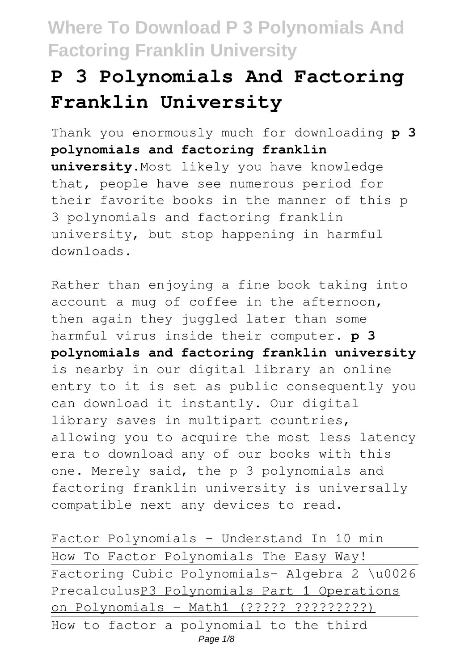# **P 3 Polynomials And Factoring Franklin University**

Thank you enormously much for downloading **p 3 polynomials and factoring franklin university**.Most likely you have knowledge that, people have see numerous period for their favorite books in the manner of this p 3 polynomials and factoring franklin university, but stop happening in harmful downloads.

Rather than enjoying a fine book taking into account a mug of coffee in the afternoon, then again they juggled later than some harmful virus inside their computer. **p 3 polynomials and factoring franklin university** is nearby in our digital library an online entry to it is set as public consequently you can download it instantly. Our digital library saves in multipart countries, allowing you to acquire the most less latency era to download any of our books with this one. Merely said, the p 3 polynomials and factoring franklin university is universally compatible next any devices to read.

Factor Polynomials - Understand In 10 min How To Factor Polynomials The Easy Way! Factoring Cubic Polynomials- Algebra 2 \u0026 PrecalculusP3 Polynomials Part 1 Operations on Polynomials - Math1 (????? ?????????) How to factor a polynomial to the third Page  $1/8$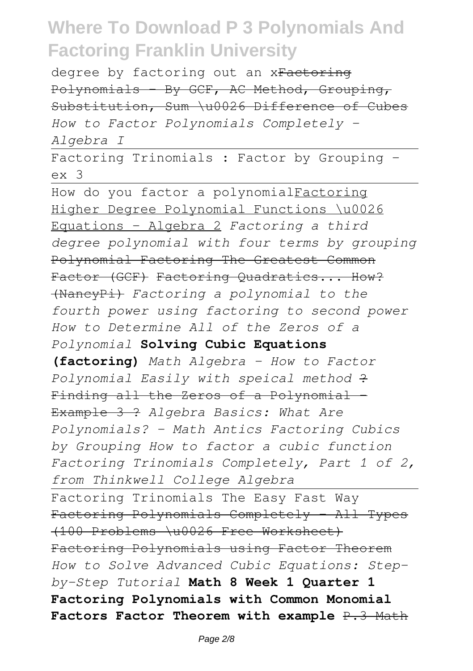degree by factoring out an xFactoring Polynomials By GCF, AC Method, Grouping, Substitution, Sum \u0026 Difference of Cubes *How to Factor Polynomials Completely - Algebra I*

Factoring Trinomials : Factor by Grouping ex 3

How do you factor a polynomialFactoring Higher Degree Polynomial Functions \u0026 Equations - Algebra 2 *Factoring a third degree polynomial with four terms by grouping* Polynomial Factoring The Greatest Common Factor (GCF) Factoring Quadratics... How? (NancyPi) *Factoring a polynomial to the fourth power using factoring to second power How to Determine All of the Zeros of a Polynomial* **Solving Cubic Equations (factoring)** *Math Algebra - How to Factor Polynomial Easily with speical method* ? Finding all the Zeros of a Polynomial -Example 3 ? *Algebra Basics: What Are Polynomials? - Math Antics Factoring Cubics by Grouping How to factor a cubic function Factoring Trinomials Completely, Part 1 of 2, from Thinkwell College Algebra* Factoring Trinomials The Easy Fast Way Factoring Polynomials Completely - All Types (100 Problems \u0026 Free Worksheet) Factoring Polynomials using Factor Theorem *How to Solve Advanced Cubic Equations: Stepby-Step Tutorial* **Math 8 Week 1 Quarter 1 Factoring Polynomials with Common Monomial Factors Factor Theorem with example** P.3 Math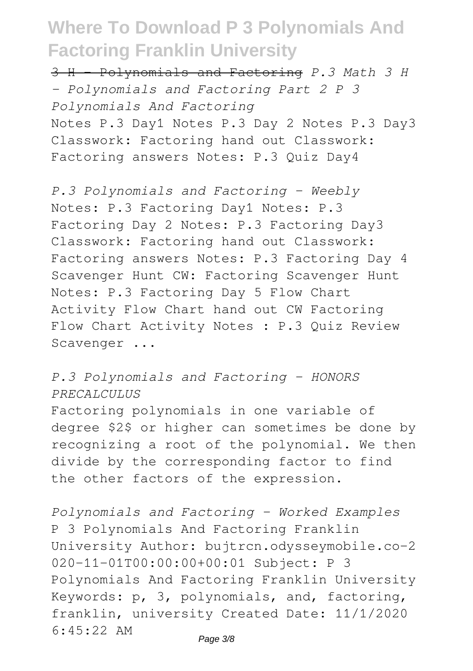3 H - Polynomials and Factoring *P.3 Math 3 H - Polynomials and Factoring Part 2 P 3 Polynomials And Factoring* Notes P.3 Day1 Notes P.3 Day 2 Notes P.3 Day3 Classwork: Factoring hand out Classwork: Factoring answers Notes: P.3 Quiz Day4

*P.3 Polynomials and Factoring - Weebly* Notes: P.3 Factoring Day1 Notes: P.3 Factoring Day 2 Notes: P.3 Factoring Day3 Classwork: Factoring hand out Classwork: Factoring answers Notes: P.3 Factoring Day 4 Scavenger Hunt CW: Factoring Scavenger Hunt Notes: P.3 Factoring Day 5 Flow Chart Activity Flow Chart hand out CW Factoring Flow Chart Activity Notes : P.3 Quiz Review Scavenger ...

#### *P.3 Polynomials and Factoring - HONORS PRECALCULUS*

Factoring polynomials in one variable of degree \$2\$ or higher can sometimes be done by recognizing a root of the polynomial. We then divide by the corresponding factor to find the other factors of the expression.

*Polynomials and Factoring - Worked Examples* P 3 Polynomials And Factoring Franklin University Author: bujtrcn.odysseymobile.co-2 020-11-01T00:00:00+00:01 Subject: P 3 Polynomials And Factoring Franklin University Keywords: p, 3, polynomials, and, factoring, franklin, university Created Date: 11/1/2020 6:45:22 AM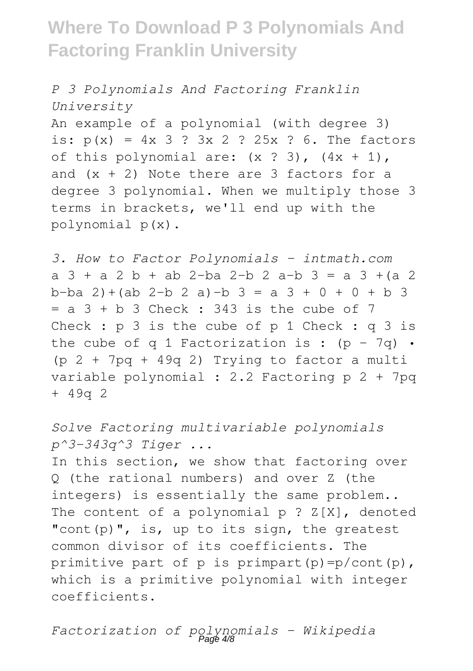*P 3 Polynomials And Factoring Franklin University* An example of a polynomial (with degree 3) is:  $p(x) = 4x + 3 + 3x + 2 + 25x + 6$ . The factors of this polynomial are:  $(x ? 3)$ ,  $(4x + 1)$ , and  $(x + 2)$  Note there are 3 factors for a degree 3 polynomial. When we multiply those 3 terms in brackets, we'll end up with the polynomial p(x).

*3. How to Factor Polynomials - intmath.com*  $a$  3 + a 2 b + ab 2-ba 2-b 2 a-b 3 = a 3 +(a 2 b-ba 2)+(ab 2-b 2 a)-b 3 = a 3 + 0 + 0 + b 3  $= a 3 + b 3$  Check : 343 is the cube of 7 Check : p 3 is the cube of p 1 Check : q 3 is the cube of q 1 Factorization is :  $(p - 7q)$  .  $(p 2 + 7pq + 49q 2)$  Trying to factor a multi variable polynomial : 2.2 Factoring p 2 + 7pq + 49q 2

*Solve Factoring multivariable polynomials p^3-343q^3 Tiger ...* In this section, we show that factoring over Q (the rational numbers) and over Z (the integers) is essentially the same problem.. The content of a polynomial  $p : Z[X]$ , denoted "cont(p)", is, up to its sign, the greatest common divisor of its coefficients. The primitive part of p is primpart(p)= $p/cont(p)$ , which is a primitive polynomial with integer coefficients.

*Factorization of polynomials - Wikipedia* Page 4/8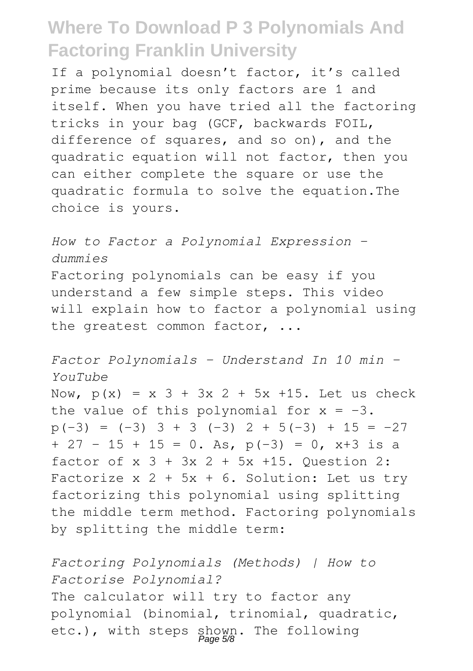If a polynomial doesn't factor, it's called prime because its only factors are 1 and itself. When you have tried all the factoring tricks in your bag (GCF, backwards FOIL, difference of squares, and so on), and the quadratic equation will not factor, then you can either complete the square or use the quadratic formula to solve the equation.The choice is yours.

*How to Factor a Polynomial Expression dummies* Factoring polynomials can be easy if you understand a few simple steps. This video will explain how to factor a polynomial using the greatest common factor, ...

*Factor Polynomials - Understand In 10 min - YouTube* Now,  $p(x) = x 3 + 3x 2 + 5x + 15$ . Let us check the value of this polynomial for  $x = -3$ .  $p(-3) = (-3)$  3 + 3 (-3) 2 + 5(-3) + 15 = -27  $+ 27 - 15 + 15 = 0$ . As,  $p(-3) = 0$ ,  $x+3$  is a factor of  $x$   $3 + 3x$   $2 + 5x$   $+15$ . Ouestion 2: Factorize  $x$  2 + 5x + 6. Solution: Let us try factorizing this polynomial using splitting the middle term method. Factoring polynomials by splitting the middle term:

*Factoring Polynomials (Methods) | How to Factorise Polynomial?* The calculator will try to factor any polynomial (binomial, trinomial, quadratic, etc.), with steps shown. The following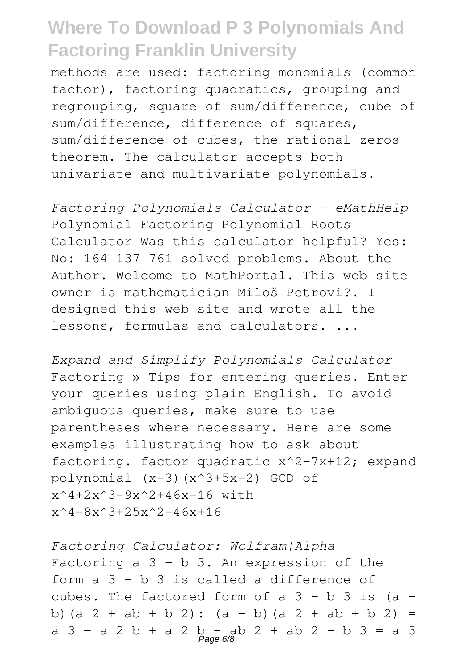methods are used: factoring monomials (common factor), factoring quadratics, grouping and regrouping, square of sum/difference, cube of sum/difference, difference of squares, sum/difference of cubes, the rational zeros theorem. The calculator accepts both univariate and multivariate polynomials.

*Factoring Polynomials Calculator - eMathHelp* Polynomial Factoring Polynomial Roots Calculator Was this calculator helpful? Yes: No: 164 137 761 solved problems. About the Author. Welcome to MathPortal. This web site owner is mathematician Miloš Petrovi?. I designed this web site and wrote all the lessons, formulas and calculators. ...

*Expand and Simplify Polynomials Calculator* Factoring » Tips for entering queries. Enter your queries using plain English. To avoid ambiguous queries, make sure to use parentheses where necessary. Here are some examples illustrating how to ask about factoring. factor quadratic x^2-7x+12; expand polynomial (x-3)(x^3+5x-2) GCD of  $x^4+2x^3-9x^2+46x-16$  with  $x^4-8x^3+25x^2-46x+16$ 

*Factoring Calculator: Wolfram|Alpha* Factoring  $a$   $3 - b$   $3$ . An expression of the form a 3 - b 3 is called a difference of cubes. The factored form of a  $3 - b$  3 is (a b)(a  $2 + ab + b$  2):  $(a - b)(a 2 + ab + b 2) =$ a 3 - a 2 b + a 2 b - ab 2 + ab 2 - b 3 = a 3<br>Page 6/8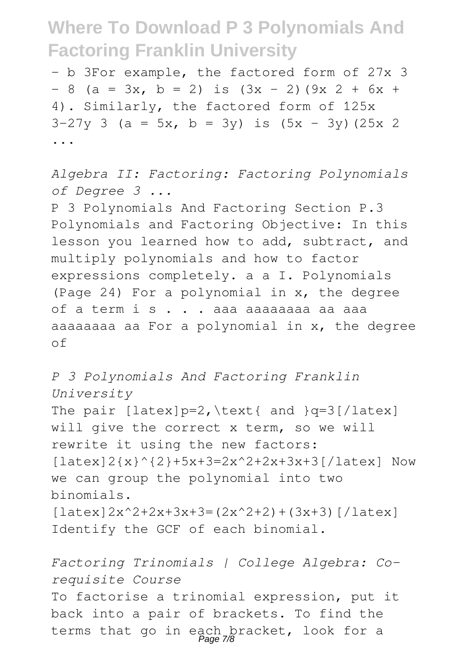- b 3For example, the factored form of 27x 3  $- 8$  (a = 3x, b = 2) is  $(3x - 2)(9x + 2) + 6x +$ 4). Similarly, the factored form of 125x  $3-27y$  3 (a = 5x, b = 3y) is  $(5x - 3y)(25x)$ ...

*Algebra II: Factoring: Factoring Polynomials of Degree 3 ...* P 3 Polynomials And Factoring Section P.3 Polynomials and Factoring Objective: In this lesson you learned how to add, subtract, and multiply polynomials and how to factor expressions completely. a a I. Polynomials (Page 24) For a polynomial in x, the degree of a term i s . . . aaa aaaaaaaa aa aaa aaaaaaaa aa For a polynomial in x, the degree of

*P 3 Polynomials And Factoring Franklin University* The pair  $\left[ \text{latex} \right] = 2$ ,  $\text{ant} \left[ \text{and} \right] = 3 \left[ \text{latex} \right]$ will give the correct x term, so we will rewrite it using the new factors: [latex]2{x}^{2}+5x+3=2x^2+2x+3x+3[/latex] Now we can group the polynomial into two binomials.  $\lceil$  latex  $\lceil 2x^2+2x+3x+3=$  (2x<sup>2</sup>+2) + (3x+3)  $\lceil$  / latex] Identify the GCF of each binomial.

*Factoring Trinomials | College Algebra: Corequisite Course* To factorise a trinomial expression, put it back into a pair of brackets. To find the terms that go in each bracket, look for a